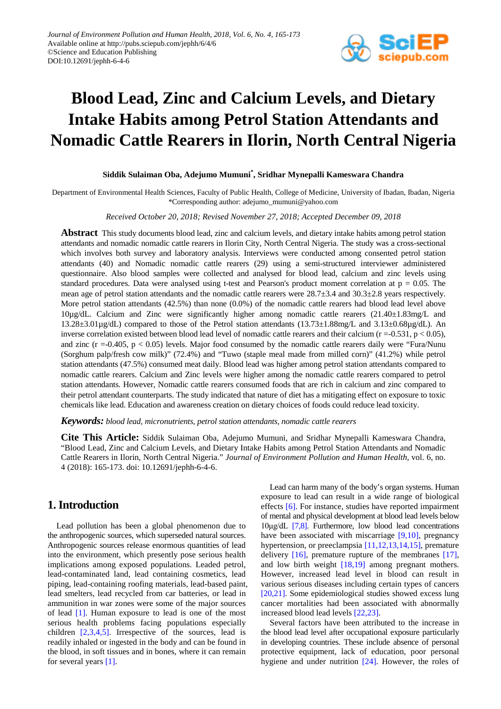

# **Blood Lead, Zinc and Calcium Levels, and Dietary Intake Habits among Petrol Station Attendants and Nomadic Cattle Rearers in Ilorin, North Central Nigeria**

#### **Siddik Sulaiman Oba, Adejumo Mumuni\* , Sridhar Mynepalli Kameswara Chandra**

Department of Environmental Health Sciences, Faculty of Public Health, College of Medicine, University of Ibadan, Ibadan, Nigeria \*Corresponding author: adejumo\_mumuni@yahoo.com

#### *Received October 20, 2018; Revised November 27, 2018; Accepted December 09, 2018*

**Abstract** This study documents blood lead, zinc and calcium levels, and dietary intake habits among petrol station attendants and nomadic nomadic cattle rearers in Ilorin City, North Central Nigeria. The study was a cross-sectional which involves both survey and laboratory analysis. Interviews were conducted among consented petrol station attendants (40) and Nomadic nomadic cattle rearers (29) using a semi-structured interviewer administered questionnaire. Also blood samples were collected and analysed for blood lead, calcium and zinc levels using standard procedures. Data were analysed using t-test and Pearson's product moment correlation at p = 0.05. The mean age of petrol station attendants and the nomadic cattle rearers were 28.7±3.4 and 30.3±2.8 years respectively. More petrol station attendants (42.5%) than none (0.0%) of the nomadic cattle rearers had blood lead level above 10µg/dL. Calcium and Zinc were significantly higher among nomadic cattle rearers (21.40±1.83mg/L and 13.28±3.01µg/dL) compared to those of the Petrol station attendants (13.73±1.88mg/L and 3.13±0.68µg/dL). An inverse correlation existed between blood lead level of nomadic cattle rearers and their calcium ( $r = -0.531$ ,  $p < 0.05$ ), and zinc ( $r = -0.405$ ,  $p < 0.05$ ) levels. Major food consumed by the nomadic cattle rearers daily were "Fura/Nunu (Sorghum palp/fresh cow milk)" (72.4%) and "Tuwo (staple meal made from milled corn)" (41.2%) while petrol station attendants (47.5%) consumed meat daily. Blood lead was higher among petrol station attendants compared to nomadic cattle rearers. Calcium and Zinc levels were higher among the nomadic cattle rearers compared to petrol station attendants. However, Nomadic cattle rearers consumed foods that are rich in calcium and zinc compared to their petrol attendant counterparts. The study indicated that nature of diet has a mitigating effect on exposure to toxic chemicals like lead. Education and awareness creation on dietary choices of foods could reduce lead toxicity.

*Keywords: blood lead, micronutrients, petrol station attendants, nomadic cattle rearers*

**Cite This Article:** Siddik Sulaiman Oba, Adejumo Mumuni, and Sridhar Mynepalli Kameswara Chandra, "Blood Lead, Zinc and Calcium Levels, and Dietary Intake Habits among Petrol Station Attendants and Nomadic Cattle Rearers in Ilorin, North Central Nigeria." *Journal of Environment Pollution and Human Health*, vol. 6, no. 4 (2018): 165-173. doi: 10.12691/jephh-6-4-6.

### **1. Introduction**

Lead pollution has been a global phenomenon due to the anthropogenic sources, which superseded natural sources. Anthropogenic sources release enormous quantities of lead into the environment, which presently pose serious health implications among exposed populations. Leaded petrol, lead-contaminated land, lead containing cosmetics, lead piping, lead-containing roofing materials, lead-based paint, lead smelters, lead recycled from car batteries, or lead in ammunition in war zones were some of the major sources of lead [\[1\].](#page-6-0) Human exposure to lead is one of the most serious health problems facing populations especially children  $[2,3,4,5]$ . Irrespective of the sources, lead is readily inhaled or ingested in the body and can be found in the blood, in soft tissues and in bones, where it can remain for several years [\[1\].](#page-6-0)

Lead can harm many of the body's organ systems. Human exposure to lead can result in a wide range of biological effects [\[6\].](#page-6-2) For instance, studies have reported impairment of mental and physical development at blood lead levels below 10μg/dL [\[7,8\].](#page-6-3) Furthermore, low blood lead concentrations have been associated with miscarriage [\[9,10\],](#page-6-4) pregnancy hypertension, or preeclampsia [\[11,12,13,14,15\],](#page-6-5) premature delivery [\[16\],](#page-7-0) premature rupture of the membranes [\[17\],](#page-7-1) and low birth weight [\[18,19\]](#page-7-2) among pregnant mothers. However, increased lead level in blood can result in various serious diseases including certain types of cancers [\[20,21\].](#page-7-3) Some epidemiological studies showed excess lung cancer mortalities had been associated with abnormally increased blood lead level[s \[22,23\].](#page-7-4)

Several factors have been attributed to the increase in the blood lead level after occupational exposure particularly in developing countries. These include absence of personal protective equipment, lack of education, poor personal hygiene and under nutrition [\[24\].](#page-7-5) However, the roles of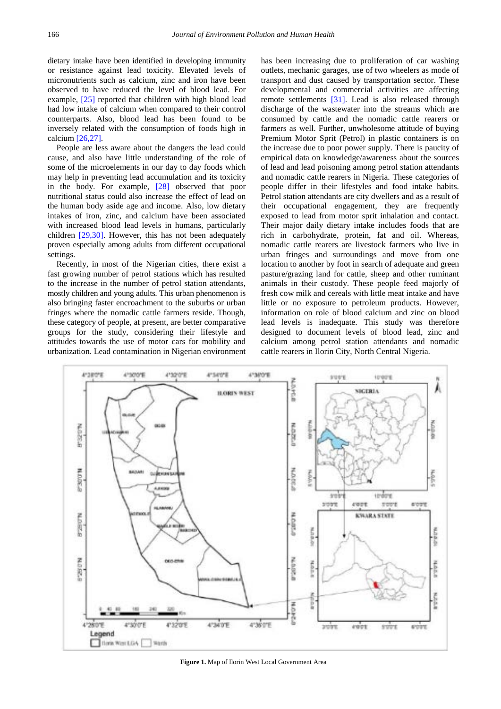dietary intake have been identified in developing immunity or resistance against lead toxicity. Elevated levels of micronutrients such as calcium, zinc and iron have been observed to have reduced the level of blood lead. For example, [\[25\]](#page-7-6) reported that children with high blood lead had low intake of calcium when compared to their control counterparts. Also, blood lead has been found to be inversely related with the consumption of foods high in calcium [\[26,27\].](#page-7-7)

People are less aware about the dangers the lead could cause, and also have little understanding of the role of some of the microelements in our day to day foods which may help in preventing lead accumulation and its toxicity in the body. For example, [\[28\]](#page-7-8) observed that poor nutritional status could also increase the effect of lead on the human body aside age and income. Also, low dietary intakes of iron, zinc, and calcium have been associated with increased blood lead levels in humans, particularly children [\[29,30\].](#page-7-9) However, this has not been adequately proven especially among adults from different occupational settings.

Recently, in most of the Nigerian cities, there exist a fast growing number of petrol stations which has resulted to the increase in the number of petrol station attendants, mostly children and young adults. This urban phenomenon is also bringing faster encroachment to the suburbs or urban fringes where the nomadic cattle farmers reside. Though, these category of people, at present, are better comparative groups for the study, considering their lifestyle and attitudes towards the use of motor cars for mobility and urbanization. Lead contamination in Nigerian environment has been increasing due to proliferation of car washing outlets, mechanic garages, use of two wheelers as mode of transport and dust caused by transportation sector. These developmental and commercial activities are affecting remote settlements [\[31\].](#page-7-10) Lead is also released through discharge of the wastewater into the streams which are consumed by cattle and the nomadic cattle rearers or farmers as well. Further, unwholesome attitude of buying Premium Motor Sprit (Petrol) in plastic containers is on the increase due to poor power supply. There is paucity of empirical data on knowledge/awareness about the sources of lead and lead poisoning among petrol station attendants and nomadic cattle rearers in Nigeria. These categories of people differ in their lifestyles and food intake habits. Petrol station attendants are city dwellers and as a result of their occupational engagement, they are frequently exposed to lead from motor sprit inhalation and contact. Their major daily dietary intake includes foods that are rich in carbohydrate, protein, fat and oil. Whereas, nomadic cattle rearers are livestock farmers who live in urban fringes and surroundings and move from one location to another by foot in search of adequate and green pasture/grazing land for cattle, sheep and other ruminant animals in their custody. These people feed majorly of fresh cow milk and cereals with little meat intake and have little or no exposure to petroleum products. However, information on role of blood calcium and zinc on blood lead levels is inadequate. This study was therefore designed to document levels of blood lead, zinc and calcium among petrol station attendants and nomadic cattle rearers in Ilorin City, North Central Nigeria.

<span id="page-1-0"></span>

**Figure 1.** Map of Ilorin West Local Government Area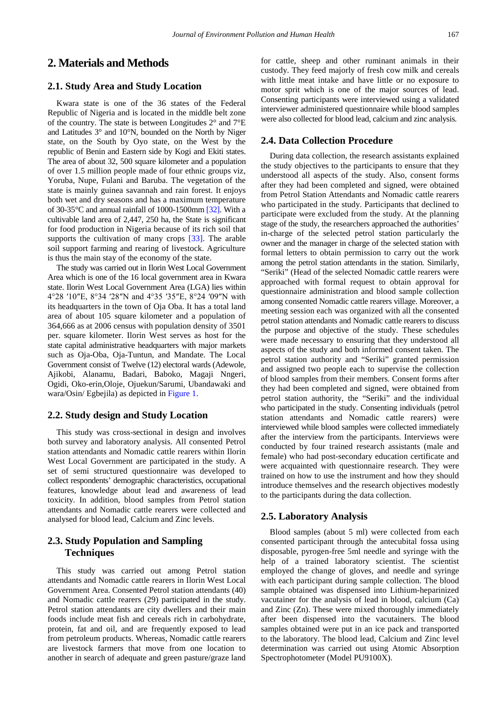# **2. Materials and Methods**

#### **2.1. Study Area and Study Location**

Kwara state is one of the 36 states of the Federal Republic of Nigeria and is located in the middle belt zone of the country. The state is between Longitudes 2° and 7°E and Latitudes 3° and 10°N, bounded on the North by Niger state, on the South by Oyo state, on the West by the republic of Benin and Eastern side by Kogi and Ekiti states. The area of about 32, 500 square kilometer and a population of over 1.5 million people made of four ethnic groups viz, Yoruba, Nupe, Fulani and Baruba. The vegetation of the state is mainly guinea savannah and rain forest. It enjoys both wet and dry seasons and has a maximum temperature of 30-35°C and annual rainfall of 1000-1500m[m \[32\].](#page-7-11) With a cultivable land area of 2,447, 250 ha, the State is significant for food production in Nigeria because of its rich soil that supports the cultivation of many crops [\[33\].](#page-7-12) The arable soil support farming and rearing of livestock. Agriculture is thus the main stay of the economy of the state.

The study was carried out in Ilorin West Local Government Area which is one of the 16 local government area in Kwara state. Ilorin West Local Government Area (LGA) lies within 4°28 ′10″E, 8°34 ′28″N and 4°35 ′35″E, 8°24 ′09″N with its headquarters in the town of Oja Oba. It has a total land area of about 105 square kilometer and a population of 364,666 as at 2006 census with population density of 3501 per. square kilometer. Ilorin West serves as host for the state capital administrative headquarters with major markets such as Oja-Oba, Oja-Tuntun, and Mandate. The Local Government consist of Twelve (12) electoral wards (Adewole, Ajikobi, Alanamu, Badari, Baboko, Magaji Nngeri, Ogidi, Oko-erin,Oloje, Ojuekun/Sarumi, Ubandawaki and wara/Osin/ Egbejila) as depicted i[n Figure 1.](#page-1-0)

#### **2.2. Study design and Study Location**

This study was cross-sectional in design and involves both survey and laboratory analysis. All consented Petrol station attendants and Nomadic cattle rearers within Ilorin West Local Government are participated in the study. A set of semi structured questionnaire was developed to collect respondents' demographic characteristics, occupational features, knowledge about lead and awareness of lead toxicity. In addition, blood samples from Petrol station attendants and Nomadic cattle rearers were collected and analysed for blood lead, Calcium and Zinc levels.

# **2.3. Study Population and Sampling Techniques**

This study was carried out among Petrol station attendants and Nomadic cattle rearers in Ilorin West Local Government Area. Consented Petrol station attendants (40) and Nomadic cattle rearers (29) participated in the study. Petrol station attendants are city dwellers and their main foods include meat fish and cereals rich in carbohydrate, protein, fat and oil, and are frequently exposed to lead from petroleum products. Whereas, Nomadic cattle rearers are livestock farmers that move from one location to another in search of adequate and green pasture/graze land for cattle, sheep and other ruminant animals in their custody. They feed majorly of fresh cow milk and cereals with little meat intake and have little or no exposure to motor sprit which is one of the major sources of lead. Consenting participants were interviewed using a validated interviewer administered questionnaire while blood samples were also collected for blood lead, calcium and zinc analysis.

### **2.4. Data Collection Procedure**

During data collection, the research assistants explained the study objectives to the participants to ensure that they understood all aspects of the study. Also, consent forms after they had been completed and signed, were obtained from Petrol Station Attendants and Nomadic cattle rearers who participated in the study. Participants that declined to participate were excluded from the study. At the planning stage of the study, the researchers approached the authorities' in-charge of the selected petrol station particularly the owner and the manager in charge of the selected station with formal letters to obtain permission to carry out the work among the petrol station attendants in the station. Similarly, "Seriki" (Head of the selected Nomadic cattle rearers were approached with formal request to obtain approval for questionnaire administration and blood sample collection among consented Nomadic cattle rearers village. Moreover, a meeting session each was organized with all the consented petrol station attendants and Nomadic cattle rearers to discuss the purpose and objective of the study. These schedules were made necessary to ensuring that they understood all aspects of the study and both informed consent taken. The petrol station authority and "Seriki" granted permission and assigned two people each to supervise the collection of blood samples from their members. Consent forms after they had been completed and signed, were obtained from petrol station authority, the "Seriki" and the individual who participated in the study. Consenting individuals (petrol station attendants and Nomadic cattle rearers) were interviewed while blood samples were collected immediately after the interview from the participants. Interviews were conducted by four trained research assistants (male and female) who had post-secondary education certificate and were acquainted with questionnaire research. They were trained on how to use the instrument and how they should introduce themselves and the research objectives modestly to the participants during the data collection.

#### **2.5. Laboratory Analysis**

Blood samples (about 5 ml) were collected from each consented participant through the antecubital fossa using disposable, pyrogen-free 5ml needle and syringe with the help of a trained laboratory scientist. The scientist employed the change of gloves, and needle and syringe with each participant during sample collection. The blood sample obtained was dispensed into Lithium-heparinized vacutainer for the analysis of lead in blood, calcium (Ca) and Zinc (Zn). These were mixed thoroughly immediately after been dispensed into the vacutainers. The blood samples obtained were put in an ice pack and transported to the laboratory. The blood lead, Calcium and Zinc level determination was carried out using Atomic Absorption Spectrophotometer (Model PU9100X).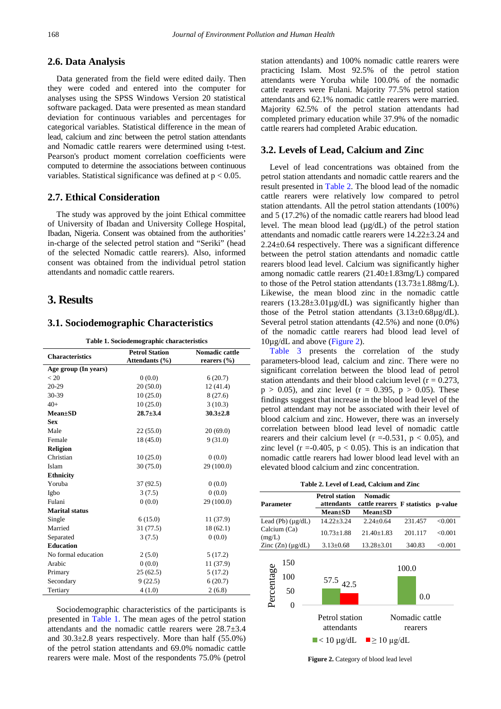#### **2.6. Data Analysis**

Data generated from the field were edited daily. Then they were coded and entered into the computer for analyses using the SPSS Windows Version 20 statistical software packaged. Data were presented as mean standard deviation for continuous variables and percentages for categorical variables. Statistical difference in the mean of lead, calcium and zinc between the petrol station attendants and Nomadic cattle rearers were determined using t-test. Pearson's product moment correlation coefficients were computed to determine the associations between continuous variables. Statistical significance was defined at  $p < 0.05$ .

#### **2.7. Ethical Consideration**

The study was approved by the joint Ethical committee of University of Ibadan and University College Hospital, Ibadan, Nigeria. Consent was obtained from the authorities' in-charge of the selected petrol station and "Seriki" (head of the selected Nomadic cattle rearers). Also, informed consent was obtained from the individual petrol station attendants and nomadic cattle rearers.

# **3. Results**

#### **3.1. Sociodemographic Characteristics**

**Table 1. Sociodemographic characteristics**

<span id="page-3-0"></span>

| <b>Nomadic cattle</b><br><b>Petrol Station</b><br><b>Characteristics</b><br>Attendants (%)<br>rearers $(\%$<br>Age group (In years)<br>< 20<br>0(0.0)<br>6(20.7)<br>$20 - 29$<br>20(50.0)<br>12(41.4)<br>30-39<br>10(25.0)<br>8(27.6)<br>$40+$<br>10(25.0)<br>3(10.3)<br>$28.7 + 3.4$<br>$30.3 \pm 2.8$<br>$Mean \pm SD$<br><b>Sex</b><br>Male<br>20(69.0)<br>22 (55.0)<br>9(31.0)<br>Female<br>18(45.0)<br><b>Religion</b><br>Christian<br>10(25.0)<br>0(0.0)<br>Islam<br>29 (100.0)<br>30(75.0) |
|---------------------------------------------------------------------------------------------------------------------------------------------------------------------------------------------------------------------------------------------------------------------------------------------------------------------------------------------------------------------------------------------------------------------------------------------------------------------------------------------------|
|                                                                                                                                                                                                                                                                                                                                                                                                                                                                                                   |
|                                                                                                                                                                                                                                                                                                                                                                                                                                                                                                   |
|                                                                                                                                                                                                                                                                                                                                                                                                                                                                                                   |
|                                                                                                                                                                                                                                                                                                                                                                                                                                                                                                   |
|                                                                                                                                                                                                                                                                                                                                                                                                                                                                                                   |
|                                                                                                                                                                                                                                                                                                                                                                                                                                                                                                   |
|                                                                                                                                                                                                                                                                                                                                                                                                                                                                                                   |
|                                                                                                                                                                                                                                                                                                                                                                                                                                                                                                   |
|                                                                                                                                                                                                                                                                                                                                                                                                                                                                                                   |
|                                                                                                                                                                                                                                                                                                                                                                                                                                                                                                   |
|                                                                                                                                                                                                                                                                                                                                                                                                                                                                                                   |
|                                                                                                                                                                                                                                                                                                                                                                                                                                                                                                   |
|                                                                                                                                                                                                                                                                                                                                                                                                                                                                                                   |
|                                                                                                                                                                                                                                                                                                                                                                                                                                                                                                   |
| <b>Ethnicity</b>                                                                                                                                                                                                                                                                                                                                                                                                                                                                                  |
| Yoruba<br>37 (92.5)<br>0(0.0)                                                                                                                                                                                                                                                                                                                                                                                                                                                                     |
| 0(0.0)<br>Igbo<br>3(7.5)                                                                                                                                                                                                                                                                                                                                                                                                                                                                          |
| 29 (100.0)<br>Fulani<br>0(0.0)                                                                                                                                                                                                                                                                                                                                                                                                                                                                    |
| <b>Marital status</b>                                                                                                                                                                                                                                                                                                                                                                                                                                                                             |
| 11(37.9)<br>Single<br>6(15.0)                                                                                                                                                                                                                                                                                                                                                                                                                                                                     |
| Married<br>31 (77.5)<br>18(62.1)                                                                                                                                                                                                                                                                                                                                                                                                                                                                  |
| 0(0.0)<br>Separated<br>3(7.5)                                                                                                                                                                                                                                                                                                                                                                                                                                                                     |
| <b>Education</b>                                                                                                                                                                                                                                                                                                                                                                                                                                                                                  |
| No formal education<br>2(5.0)<br>5(17.2)                                                                                                                                                                                                                                                                                                                                                                                                                                                          |
| Arabic<br>0(0.0)<br>11 (37.9)                                                                                                                                                                                                                                                                                                                                                                                                                                                                     |
| 25(62.5)<br>5(17.2)<br>Primary                                                                                                                                                                                                                                                                                                                                                                                                                                                                    |
| Secondary<br>9(22.5)<br>6(20.7)                                                                                                                                                                                                                                                                                                                                                                                                                                                                   |
| Tertiary<br>4(1.0)<br>2(6.8)                                                                                                                                                                                                                                                                                                                                                                                                                                                                      |

Sociodemographic characteristics of the participants is presented in [Table 1.](#page-3-0) The mean ages of the petrol station attendants and the nomadic cattle rearers were 28.7±3.4 and 30.3±2.8 years respectively. More than half (55.0%) of the petrol station attendants and 69.0% nomadic cattle rearers were male. Most of the respondents 75.0% (petrol

station attendants) and 100% nomadic cattle rearers were practicing Islam. Most 92.5% of the petrol station attendants were Yoruba while 100.0% of the nomadic cattle rearers were Fulani. Majority 77.5% petrol station attendants and 62.1% nomadic cattle rearers were married. Majority 62.5% of the petrol station attendants had completed primary education while 37.9% of the nomadic cattle rearers had completed Arabic education.

#### **3.2. Levels of Lead, Calcium and Zinc**

Level of lead concentrations was obtained from the petrol station attendants and nomadic cattle rearers and the result presented in [Table 2.](#page-3-1) The blood lead of the nomadic cattle rearers were relatively low compared to petrol station attendants. All the petrol station attendants (100%) and 5 (17.2%) of the nomadic cattle rearers had blood lead level. The mean blood lead (µg/dL) of the petrol station attendants and nomadic cattle rearers were 14.22±3.24 and 2.24±0.64 respectively. There was a significant difference between the petrol station attendants and nomadic cattle rearers blood lead level. Calcium was significantly higher among nomadic cattle rearers (21.40±1.83mg/L) compared to those of the Petrol station attendants (13.73±1.88mg/L). Likewise, the mean blood zinc in the nomadic cattle rearers (13.28±3.01µg/dL) was significantly higher than those of the Petrol station attendants  $(3.13\pm0.68\mu g/dL)$ . Several petrol station attendants (42.5%) and none (0.0%) of the nomadic cattle rearers had blood lead level of 10µg/dL and above [\(Figure 2\)](#page-3-2).

[Table 3](#page-4-0) presents the correlation of the study parameters-blood lead, calcium and zinc. There were no significant correlation between the blood lead of petrol station attendants and their blood calcium level ( $r = 0.273$ ,  $p > 0.05$ ), and zinc level ( $r = 0.395$ ,  $p > 0.05$ ). These findings suggest that increase in the blood lead level of the petrol attendant may not be associated with their level of blood calcium and zinc. However, there was an inversely correlation between blood lead level of nomadic cattle rearers and their calcium level ( $r = -0.531$ ,  $p < 0.05$ ), and zinc level ( $r = -0.405$ ,  $p < 0.05$ ). This is an indication that nomadic cattle rearers had lower blood lead level with an elevated blood calcium and zinc concentration.

|  |  |  |  |  | Table 2. Level of Lead, Calcium and Zinc |  |  |
|--|--|--|--|--|------------------------------------------|--|--|
|--|--|--|--|--|------------------------------------------|--|--|

<span id="page-3-2"></span><span id="page-3-1"></span>

| Parameter                           | <b>Petrol station</b><br>attendants                      | Nomadic<br>cattle rearers F statistics p-value |                           |         |  |
|-------------------------------------|----------------------------------------------------------|------------------------------------------------|---------------------------|---------|--|
|                                     | <b>Mean±SD</b>                                           | <b>Mean±SD</b>                                 |                           |         |  |
| Lead (Pb) $(\mu g/dL)$              | $14.22 \pm 3.24$                                         | $2.24 \pm 0.64$                                | 231.457                   | < 0.001 |  |
| Calcium (Ca)<br>(mg/L)              | $10.73 \pm 1.88$                                         | $21.40 \pm 1.83$                               | 201.117                   | < 0.001 |  |
| $\text{Zinc}(\text{Zn})$ (µg/dL)    | $3.13 \pm 0.68$                                          | $13.28 \pm 3.01$                               | 340.83                    | < 0.001 |  |
| 150<br>Percentage<br>100<br>50<br>0 | $57.5$ 42.5                                              |                                                | 100.0<br>0.0              |         |  |
|                                     | Petrol station<br>attendants                             |                                                | Nomadic cattle<br>rearers |         |  |
|                                     | $\blacksquare$ < 10 µg/dL $\blacksquare$ $\geq$ 10 µg/dL |                                                |                           |         |  |

**Figure 2.** Category of blood lead level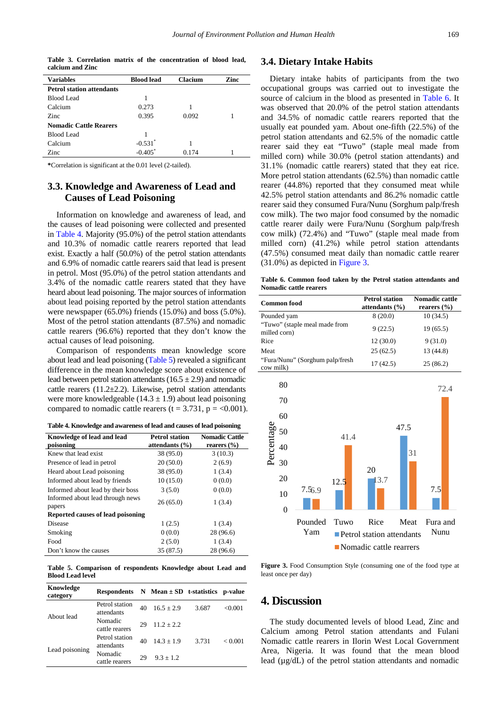**Table 3. Correlation matrix of the concentration of blood lead, calcium and Zinc**

<span id="page-4-0"></span>

| <b>Variables</b>                 | <b>Blood lead</b>     | Clacium | Zinc |
|----------------------------------|-----------------------|---------|------|
| <b>Petrol station attendants</b> |                       |         |      |
| Blood Lead                       | 1                     |         |      |
| Calcium                          | 0.273                 |         |      |
| Zinc                             | 0.395                 | 0.092   |      |
| <b>Nomadic Cattle Rearers</b>    |                       |         |      |
| <b>Blood Lead</b>                |                       |         |      |
| Calcium                          | $-0.531$ <sup>*</sup> |         |      |
| Zinc                             | $-0.405$ <sup>*</sup> | 0.174   |      |
|                                  |                       |         |      |

**\***Correlation is significant at the 0.01 level (2-tailed).

#### **3.3. Knowledge and Awareness of Lead and Causes of Lead Poisoning**

Information on knowledge and awareness of lead, and the causes of lead poisoning were collected and presented in [Table 4.](#page-4-1) Majority (95.0%) of the petrol station attendants and 10.3% of nomadic cattle rearers reported that lead exist. Exactly a half (50.0%) of the petrol station attendants and 6.9% of nomadic cattle rearers said that lead is present in petrol. Most (95.0%) of the petrol station attendants and 3.4% of the nomadic cattle rearers stated that they have heard about lead poisoning. The major sources of information about lead poising reported by the petrol station attendants were newspaper (65.0%) friends (15.0%) and boss (5.0%). Most of the petrol station attendants (87.5%) and nomadic cattle rearers (96.6%) reported that they don't know the actual causes of lead poisoning.

Comparison of respondents mean knowledge score about lead and lead poisoning [\(Table 5\)](#page-4-2) revealed a significant difference in the mean knowledge score about existence of lead between petrol station attendants  $(16.5 \pm 2.9)$  and nomadic cattle rearers  $(11.2\pm 2.2)$ . Likewise, petrol station attendants were more knowledgeable  $(14.3 \pm 1.9)$  about lead poisoning compared to nomadic cattle rearers ( $t = 3.731$ ,  $p = <0.001$ ).

**Table 4. Knowledge and awareness of lead and causes of lead poisoning**

<span id="page-4-1"></span>

| Knowledge of lead and lead<br>poisoning    | <b>Petrol station</b><br>attendants $(\% )$ | <b>Nomadic Cattle</b><br>rearers $(\%$ |  |  |
|--------------------------------------------|---------------------------------------------|----------------------------------------|--|--|
| Knew that lead exist                       | 38 (95.0)                                   | 3(10.3)                                |  |  |
| Presence of lead in petrol                 | 20(50.0)                                    | 2(6.9)                                 |  |  |
| Heard about Lead poisoning                 | 38 (95.0)                                   | 1(3.4)                                 |  |  |
| Informed about lead by friends             | 10(15.0)                                    | 0(0.0)                                 |  |  |
| Informed about lead by their boss          | 3(5.0)                                      | 0(0.0)                                 |  |  |
| Informed about lead through news<br>papers | 26(65.0)                                    | 1(3.4)                                 |  |  |
| Reported causes of lead poisoning          |                                             |                                        |  |  |
| Disease                                    | 1(2.5)                                      | 1(3.4)                                 |  |  |
| Smoking                                    | 0(0.0)                                      | 28 (96.6)                              |  |  |
| Food                                       | 2(5.0)                                      | 1(3.4)                                 |  |  |
| Don't know the causes                      | 35 (87.5)                                   | 28 (96.6)                              |  |  |

**Table 5. Comparison of respondents Knowledge about Lead and Blood Lead level**

<span id="page-4-2"></span>

| Knowledge<br>category | <b>Respondents</b>           |    | N Mean $\pm$ SD t-statistics |       | p-value |
|-----------------------|------------------------------|----|------------------------------|-------|---------|
|                       | Petrol station<br>attendants | 40 | $16.5 + 2.9$                 | 3.687 | <0.001  |
| About lead            | Nomadic<br>cattle rearers    | 29 | $11.2 + 2.2$                 |       |         |
|                       | Petrol station<br>attendants | 40 | $14.3 + 1.9$                 | 3.731 | < 0.001 |
| Lead poisoning        | Nomadic<br>cattle rearers    | 29 | $9.3 + 1.2$                  |       |         |

#### **3.4. Dietary Intake Habits**

Dietary intake habits of participants from the two occupational groups was carried out to investigate the source of calcium in the blood as presented in [Table 6.](#page-4-3) It was observed that 20.0% of the petrol station attendants and 34.5% of nomadic cattle rearers reported that the usually eat pounded yam. About one-fifth (22.5%) of the petrol station attendants and 62.5% of the nomadic cattle rearer said they eat "Tuwo" (staple meal made from milled corn) while 30.0% (petrol station attendants) and 31.1% (nomadic cattle rearers) stated that they eat rice. More petrol station attendants (62.5%) than nomadic cattle rearer (44.8%) reported that they consumed meat while 42.5% petrol station attendants and 86.2% nomadic cattle rearer said they consumed Fura/Nunu (Sorghum palp/fresh cow milk). The two major food consumed by the nomadic cattle rearer daily were Fura/Nunu (Sorghum palp/fresh cow milk) (72.4%) and "Tuwo" (staple meal made from milled corn) (41.2%) while petrol station attendants (47.5%) consumed meat daily than nomadic cattle rearer (31.0%) as depicted i[n Figure 3.](#page-4-4)

**Table 6. Common food taken by the Petrol station attendants and Nomadic cattle rearers**

<span id="page-4-3"></span>

| <b>Common food</b>                            | <b>Petrol station</b><br>attendants $(\% )$ | Nomadic cattle<br>rearers $(\% )$ |
|-----------------------------------------------|---------------------------------------------|-----------------------------------|
| Pounded yam                                   | 8(20.0)                                     | 10(34.5)                          |
| "Tuwo" (staple meal made from<br>milled corn) | 9(22.5)                                     | 19(65.5)                          |
| Rice                                          | 12(30.0)                                    | 9(31.0)                           |
| Meat                                          | 25(62.5)                                    | 13 (44.8)                         |
| "Fura/Nunu" (Sorghum palp/fresh<br>cow milk)  | 17(42.5)                                    | 25(86.2)                          |

<span id="page-4-4"></span>

**Figure 3.** Food Consumption Style (consuming one of the food type at least once per day)

#### **4. Discussion**

The study documented levels of blood Lead, Zinc and Calcium among Petrol station attendants and Fulani Nomadic cattle rearers in Ilorin West Local Government Area, Nigeria. It was found that the mean blood lead (µg/dL) of the petrol station attendants and nomadic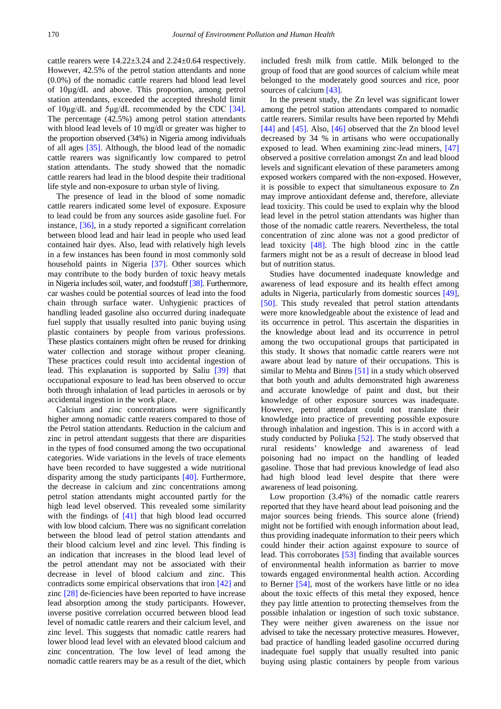cattle rearers were 14.22±3.24 and 2.24±0.64 respectively. However, 42.5% of the petrol station attendants and none (0.0%) of the nomadic cattle rearers had blood lead level of 10µg/dL and above. This proportion, among petrol station attendants, exceeded the accepted threshold limit of 10μg/dL and 5μg/dL recommended by the CDC [\[34\].](#page-7-13) The percentage (42.5%) among petrol station attendants with blood lead levels of 10 mg/dl or greater was higher to the proportion observed (34%) in Nigeria among individuals of all ages [\[35\].](#page-7-14) Although, the blood lead of the nomadic cattle rearers was significantly low compared to petrol station attendants. The study showed that the nomadic cattle rearers had lead in the blood despite their traditional life style and non-exposure to urban style of living.

The presence of lead in the blood of some nomadic cattle rearers indicated some level of exposure. Exposure to lead could be from any sources aside gasoline fuel. For instance, [\[36\],](#page-7-15) in a study reported a significant correlation between blood lead and hair lead in people who used lead contained hair dyes. Also, lead with relatively high levels in a few instances has been found in most commonly sold household paints in Nigeria [\[37\].](#page-7-16) Other sources which may contribute to the body burden of toxic heavy metals in Nigeria includes soil, water, and foodstuf[f \[38\].](#page-7-17) Furthermore, car washes could be potential sources of lead into the food chain through surface water. Unhygienic practices of handling leaded gasoline also occurred during inadequate fuel supply that usually resulted into panic buying using plastic containers by people from various professions. These plastics containers might often be reused for drinking water collection and storage without proper cleaning. These practices could result into accidental ingestion of lead. This explanation is supported by Saliu [\[39\]](#page-7-18) that occupational exposure to lead has been observed to occur both through inhalation of lead particles in aerosols or by accidental ingestion in the work place.

Calcium and zinc concentrations were significantly higher among nomadic cattle rearers compared to those of the Petrol station attendants. Reduction in the calcium and zinc in petrol attendant suggests that there are disparities in the types of food consumed among the two occupational categories. Wide variations in the levels of trace elements have been recorded to have suggested a wide nutritional disparity among the study participants [\[40\].](#page-7-19) Furthermore, the decrease in calcium and zinc concentrations among petrol station attendants might accounted partly for the high lead level observed. This revealed some similarity with the findings of [\[41\]](#page-7-20) that high blood lead occurred with low blood calcium. There was no significant correlation between the blood lead of petrol station attendants and their blood calcium level and zinc level. This finding is an indication that increases in the blood lead level of the petrol attendant may not be associated with their decrease in level of blood calcium and zinc. This contradicts some empirical observations that iron [\[42\]](#page-7-21) and zinc [\[28\]](#page-7-8) de-ficiencies have been reported to have increase lead absorption among the study participants. However, inverse positive correlation occurred between blood lead level of nomadic cattle rearers and their calcium level, and zinc level. This suggests that nomadic cattle rearers had lower blood lead level with an elevated blood calcium and zinc concentration. The low level of lead among the nomadic cattle rearers may be as a result of the diet, which

included fresh milk from cattle. Milk belonged to the group of food that are good sources of calcium while meat belonged to the moderately good sources and rice, poor sources of calciu[m \[43\].](#page-7-22)

In the present study, the Zn level was significant lower among the petrol station attendants compared to nomadic cattle rearers. Similar results have been reported by Mehdi [\[44\]](#page-7-23) and [\[45\].](#page-7-24) Also, [\[46\]](#page-7-25) observed that the Zn blood level decreased by 34 % in artisans who were occupationally exposed to lead. When examining zinc-lead miners, [\[47\]](#page-7-26) observed a positive correlation amongst Zn and lead blood levels and significant elevation of these parameters among exposed workers compared with the non-exposed. However, it is possible to expect that simultaneous exposure to Zn may improve antioxidant defense and, therefore, alleviate lead toxicity. This could be used to explain why the blood lead level in the petrol station attendants was higher than those of the nomadic cattle rearers. Nevertheless, the total concentration of zinc alone was not a good predictor of lead toxicity [\[48\].](#page-7-27) The high blood zinc in the cattle farmers might not be as a result of decrease in blood lead but of nutrition status.

Studies have documented inadequate knowledge and awareness of lead exposure and its health effect among adults in Nigeria, particularly from domestic sources [\[49\],](#page-7-28) [\[50\].](#page-8-0) This study revealed that petrol station attendants were more knowledgeable about the existence of lead and its occurrence in petrol. This ascertain the disparities in the knowledge about lead and its occurrence in petrol among the two occupational groups that participated in this study. It shows that nomadic cattle rearers were not aware about lead by nature of their occupations. This is similar to Mehta and Binns [\[51\]](#page-8-1) in a study which observed that both youth and adults demonstrated high awareness and accurate knowledge of paint and dust, but their knowledge of other exposure sources was inadequate. However, petrol attendant could not translate their knowledge into practice of preventing possible exposure through inhalation and ingestion. This is in accord with a study conducted by Poliuka [\[52\].](#page-8-2) The study observed that rural residents' knowledge and awareness of lead poisoning had no impact on the handling of leaded gasoline. Those that had previous knowledge of lead also had high blood lead level despite that there were awareness of lead poisoning.

Low proportion (3.4%) of the nomadic cattle rearers reported that they have heard about lead poisoning and the major sources being friends. This source alone (friend) might not be fortified with enough information about lead, thus providing inadequate information to their peers which could hinder their action against exposure to source of lead. This corroborates [\[53\]](#page-8-3) finding that available sources of environmental health information as barrier to move towards engaged environmental health action. According to Berner [\[54\],](#page-8-4) most of the workers have little or no idea about the toxic effects of this metal they exposed, hence they pay little attention to protecting themselves from the possible inhalation or ingestion of such toxic substance. They were neither given awareness on the issue nor advised to take the necessary protective measures. However, bad practice of handling leaded gasoline occurred during inadequate fuel supply that usually resulted into panic buying using plastic containers by people from various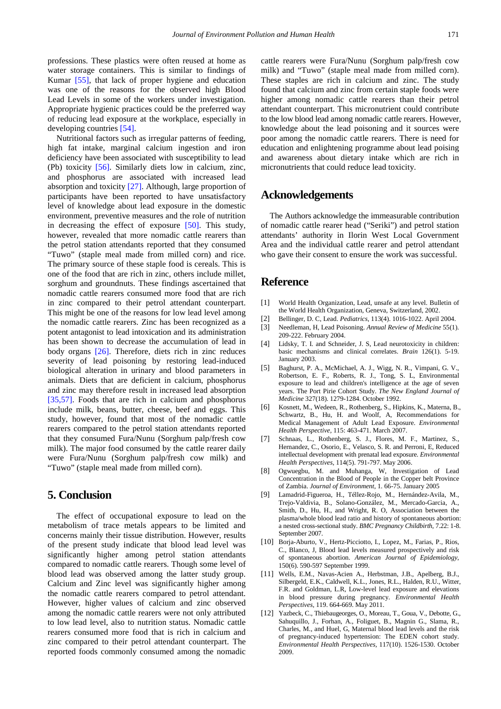professions. These plastics were often reused at home as water storage containers. This is similar to findings of Kumar [\[55\],](#page-8-5) that lack of proper hygiene and education was one of the reasons for the observed high Blood Lead Levels in some of the workers under investigation. Appropriate hygienic practices could be the preferred way of reducing lead exposure at the workplace, especially in developing countries [\[54\].](#page-8-4)

Nutritional factors such as irregular patterns of feeding, high fat intake, marginal calcium ingestion and iron deficiency have been associated with susceptibility to lead (Pb) toxicity [\[56\].](#page-8-6) Similarly diets low in calcium, zinc, and phosphorus are associated with increased lead absorption and toxicity [\[27\].](#page-7-29) Although, large proportion of participants have been reported to have unsatisfactory level of knowledge about lead exposure in the domestic environment, preventive measures and the role of nutrition in decreasing the effect of exposure [\[50\].](#page-8-0) This study, however, revealed that more nomadic cattle rearers than the petrol station attendants reported that they consumed "Tuwo" (staple meal made from milled corn) and rice. The primary source of these staple food is cereals. This is one of the food that are rich in zinc, others include millet, sorghum and groundnuts. These findings ascertained that nomadic cattle rearers consumed more food that are rich in zinc compared to their petrol attendant counterpart. This might be one of the reasons for low lead level among the nomadic cattle rearers. Zinc has been recognized as a potent antagonist to lead intoxication and its administration has been shown to decrease the accumulation of lead in body organs [\[26\].](#page-7-7) Therefore, diets rich in zinc reduces severity of lead poisoning by restoring lead-induced biological alteration in urinary and blood parameters in animals. Diets that are deficient in calcium, phosphorus and zinc may therefore result in increased lead absorption [\[35,57\].](#page-7-14) Foods that are rich in calcium and phosphorus include milk, beans, butter, cheese, beef and eggs. This study, however, found that most of the nomadic cattle rearers compared to the petrol station attendants reported that they consumed Fura/Nunu (Sorghum palp/fresh cow milk). The major food consumed by the cattle rearer daily were Fura/Nunu (Sorghum palp/fresh cow milk) and "Tuwo" (staple meal made from milled corn).

## **5. Conclusion**

The effect of occupational exposure to lead on the metabolism of trace metals appears to be limited and concerns mainly their tissue distribution. However, results of the present study indicate that blood lead level was significantly higher among petrol station attendants compared to nomadic cattle rearers. Though some level of blood lead was observed among the latter study group. Calcium and Zinc level was significantly higher among the nomadic cattle rearers compared to petrol attendant. However, higher values of calcium and zinc observed among the nomadic cattle rearers were not only attributed to low lead level, also to nutrition status. Nomadic cattle rearers consumed more food that is rich in calcium and zinc compared to their petrol attendant counterpart. The reported foods commonly consumed among the nomadic cattle rearers were Fura/Nunu (Sorghum palp/fresh cow milk) and "Tuwo" (staple meal made from milled corn). These staples are rich in calcium and zinc. The study found that calcium and zinc from certain staple foods were higher among nomadic cattle rearers than their petrol attendant counterpart. This micronutrient could contribute to the low blood lead among nomadic cattle rearers. However, knowledge about the lead poisoning and it sources were poor among the nomadic cattle rearers. There is need for education and enlightening programme about lead poising and awareness about dietary intake which are rich in micronutrients that could reduce lead toxicity.

## **Acknowledgements**

The Authors acknowledge the immeasurable contribution of nomadic cattle rearer head ("Seriki") and petrol station attendants' authority in Ilorin West Local Government Area and the individual cattle rearer and petrol attendant who gave their consent to ensure the work was successful.

#### **Reference**

- <span id="page-6-0"></span>[1] World Health Organization, Lead, unsafe at any level. Bulletin of the World Health Organization, Geneva, Switzerland, 2002.
- <span id="page-6-1"></span>[2] Bellinger, D. C, Lead. *Pediatrics,* 113(4). 1016-1022. April 2004.
- [3] Needleman, H, Lead Poisoning. *Annual Review of Medicine* 55(1). 209-222. February 2004.
- [4] Lidsky, T. I. and Schneider, J. S. Lead neurotoxicity in children: basic mechanisms and clinical correlates. *Brain* 126(1). 5-19. January 2003.
- [5] Baghurst, P. A., McMichael, A. J., Wigg, N. R., Vimpani, G. V., Robertson, E. F., Roberts, R. J., Tong, S. L, Environmental exposure to lead and children's intelligence at the age of seven years. The Port Pirie Cohort Study. *The New England Journal of Medicine* 327(18). 1279-1284. October 1992.
- <span id="page-6-2"></span>[6] Kosnett, M., Wedeen, R., Rothenberg, S., Hipkins, K., Materna, B., Schwartz, B., Hu, H. and Woolf, A, Recommendations for Medical Management of Adult Lead Exposure. *Environmental Health Perspective,* 115: 463-471. March 2007.
- <span id="page-6-3"></span>[7] Schnaas, L., Rothenberg, S. J., Flores, M. F., Martinez, S., Hernandez, C., Osorio, E., Velasco, S. R. and Perroni, E, Reduced intellectual development with prenatal lead exposure. *Environmental Health Perspectives,* 114(5). 791-797. May 2006.
- [8] Ogwuegbu, M. and Muhanga, W, Investigation of Lead Concentration in the Blood of People in the Copper belt Province of Zambia. *Journal of Environment*, 1. 66-75. January 2005
- <span id="page-6-4"></span>[9] Lamadrid-Figueroa, H., Téllez-Rojo, M., Hernández-Avila, M., Trejo-Valdivia, B., Solano-González, M., Mercado-Garcia, A., Smith, D., Hu, H., and Wright, R. O, Association between the plasma/whole blood lead ratio and history of spontaneous abortion: a nested cross-sectional study. *BMC Pregnancy Childbirth,* 7.22: 1-8. September 2007.
- [10] Borja-Aburto, V., Hertz-Picciotto, I., Lopez, M., Farias, P., Rios, C., Blanco, J, Blood lead levels measured prospectively and risk of spontaneous abortion. *American Journal of Epidemiology*, 150(6). 590-597 September 1999.
- <span id="page-6-5"></span>[11] Wells, E.M., Navas-Acien A., Herbstman, J.B., Apelberg, B.J., Silbergeld, E.K., Caldwell, K.L., Jones, R.L., Halden, R.U., Witter, F.R. and Goldman, L.R, Low-level lead exposure and elevations in blood pressure during pregnancy. *Environmental Health Perspectives,* 119. 664-669. May 2011.
- [12] Yazbeck, C., Thiebaugeorges, O., Moreau, T., Goua, V., Debotte, G., Sahuquillo, J., Forhan, A., Foliguet, B., Magnin G., Slama, R., Charles, M., and Huel, G, Maternal blood lead levels and the risk of pregnancy-induced hypertension: The EDEN cohort study. *Environmental Health Perspectives,* 117(10). 1526-1530. October 2009.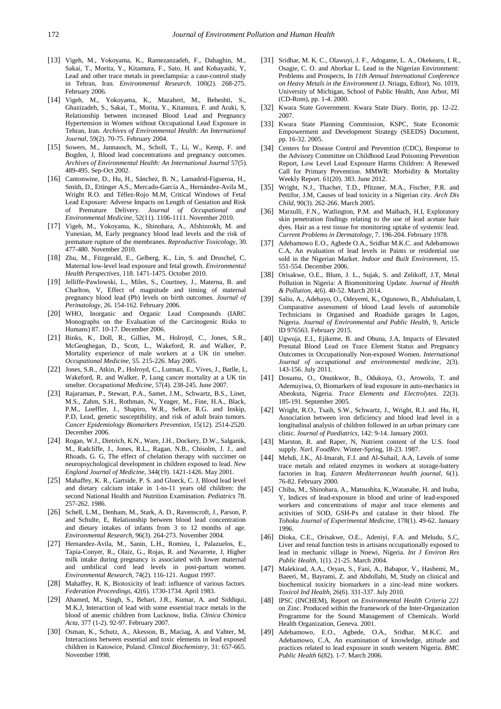- [13] Vigeh, M., Yokoyama, K., Ramezanzadeh, F., Dahaghin, M., Sakai, T., Morita, Y., Kitamura, F., Sato, H. and Kobayashi, Y, Lead and other trace metals in preeclampsia: a case-control study in Tehran, Iran. *Environmental Research.* 100(2). 268-275. February 2006.
- [14] Vigeh, M., Yokoyama, K., Mazaheri, M., Beheshti, S., Ghazizadeh, S., Sakai, T., Morita, Y., Kitamura, F. and Araki, S, Relationship between increased Blood Lead and Pregnancy Hypertension in Women without Occupational Lead Exposure in Tehran, Iran. *Archives of Environmental Health: An International Journal*, 59(2). 70-75. February 2004.
- [15] Sowers, M., Jannausch, M., Scholl, T., Li, W., Kemp, F. and Bogden, J, Blood lead concentrations and pregnancy outcomes. *Archives of Environmental Health: An International Journal* 57(5). 489-495. Sep-Oct 2002.
- <span id="page-7-0"></span>[16] Cantonwine, D., Hu, H., Sánchez, B. N., Lamadrid-Figueroa, H., Smith, D., Ettinger A.S., Mercado-García A., Hernández-Avila M., Wright R.O. and Téllez-Rojo M.M, Critical Windows of Fetal Lead Exposure: Adverse Impacts on Length of Gestation and Risk of Premature Delivery. *Journal of Occupational and Environmental Medicine,* 52(11). 1106-1111. November 2010.
- <span id="page-7-1"></span>[17] Vigeh, M., Yokoyama, K., Shinohara, A., Afshinrokh, M. and Yunesian, M, Early pregnancy blood lead levels and the risk of premature rupture of the membranes. *Reproductive Toxicology*, 30. 477-480. November 2010.
- <span id="page-7-2"></span>[18] Zhu, M., Fitzgerald, E., Gelberg, K., Lin, S. and Druschel, C. Maternal low-level lead exposure and fetal growth. *Environmental Health Perspectives*, 118. 1471-1475. October 2010.
- [19] Jelliffe-Pawlowski, L., Miles, S., Courtney, J., Materna, B. and Charlton, V, Effect of magnitude and timing of maternal pregnancy blood lead (Pb) levels on birth outcomes. *Journal of Perinatology,* 26. 154-162. February 2006.
- <span id="page-7-3"></span>[20] WHO, Inorganic and Organic Lead Compounds (IARC Monographs on the Evaluation of the Carcinogenic Risks to Humans) 87. 10-17. December 2006.
- [21] Binks, K., Doll, R., Gillies, M., Holroyd, C., Jones, S.R., McGeoghegan, D., Scott, L., Wakeford, R. and Walker, P, Mortality experience of male workers at a UK tin smelter. *Occupational Medicine,* 55. 215-226. May 2005.
- <span id="page-7-4"></span>[22] Jones, S.R., Atkin, P., Holroyd, C., Lutman, E., Vives, J., Batlle, I., Wakeford, R. and Walker, P, Lung cancer mortality at a UK tin smelter. *Occupational Medicine,* 57(4). 238-245. June 2007.
- [23] Rajaraman, P., Stewart, P.A., Samet, J.M., Schwartz, B.S., Linet, M.S., Zahm, S.H., Rothman, N., Yeager, M., Fine, H.A., Black, P.M., Loeffler, J., Shapiro, W.R., Selker, R.G. and Inskip, P.D, Lead, genetic susceptibility, and risk of adult brain tumors*. Cancer Epidemiology Biomarkers Prevention*, 15(12). 2514-2520. December 2006.
- <span id="page-7-5"></span>[24] Rogan, W.J., Dietrich, K.N., Ware, J.H., Dockery, D.W., Salganik, M., Radcliffe, J., Jones, R.L., Ragan, N.B., Chisolm, J. J., and Rhoads, G. G, The effect of chelation therapy with succimer on neuropsychological development in children exposed to lead. *New England Journal of Medicine*, 344(19). 1421-1426. May 2001.
- <span id="page-7-6"></span>[25] Mahaffey, K. R., Gartside, P. S. and Glueck, C. J, Blood lead level and dietary calcium intake in 1-to-11 years old children: the second National Health and Nutrition Examination. *Pediatrics* 78. 257-262. 1986.
- <span id="page-7-7"></span>[26] Schell, L.M., Denham, M., Stark, A.D., Ravenscroft, J., Parson, P. and Schulte, E, Relationship between blood lead concentration and dietary intakes of infants from 3 to 12 months of age. *Environmental Research*, 96(3). 264-273. November 2004.
- <span id="page-7-29"></span>[27] Hernandez-Avila, M., Sanin, L.H., Romieu, I., Palazuelos, E., Tapia-Conyer, R., Olaiz, G., Rojas, R. and Navarrete, J, Higher milk intake during pregnancy is associated with lower maternal and umbilical cord lead levels in post-partum women. *Environmental Research*, 74(2). 116-121. August 1997.
- <span id="page-7-8"></span>[28] Mahaffey, R. K, Biotoxicity of lead: influence of various factors. *Federation Proceedings*, 42(6). 1730-1734. April 1983.
- <span id="page-7-9"></span>[29] Ahamed, M., Singh, S., Behari, J.R., Kumar, A. and Siddiqui, M.K.J, Interaction of lead with some essential trace metals in the blood of anemic children from Lucknow, India. *Clinica Chimica Acta,* 377 (1-2). 92-97. February 2007.
- [30] Osman, K., Schutz, A., Akesson, B., Maciag, A. and Vahter, M, Interactions between essential and toxic elements in lead exposed children in Katowice, Poland. *Clinical Biochemistry*, 31: 657-665. November 1998.
- <span id="page-7-10"></span>[31] Sridhar, M. K. C., Olawuyi, J. F., Adogame, L. A., Okekearu, I. R., Osagie, C. O. and Aborkar L. Lead in the Nigerian Environment: Problems and Prospects, In *11th Annual International Conference on Heavy Metals in the Environment* (J. Nriagu, Editor), No. 1019, University of Michigan, School of Public Health, Ann Arbor, MI (CD-Rom), pp. 1-4. 2000.
- <span id="page-7-11"></span>[32] Kwara State Government. Kwara State Diary. Ilorin, pp. 12-22. 2007.
- <span id="page-7-12"></span>[33] Kwara State Planning Commission, KSPC, State Economic Empowerment and Development Strategy (SEEDS) Document, pp. 16-32. 2005.
- <span id="page-7-13"></span>[34] Centers for Disease Control and Prevention (CDC), Response to the Advisory Committee on Childhood Lead Poisoning Prevention Report, Low Level Lead Exposure Harms Children: A Renewed Call for Primary Prevention. MMWR: Morbidity & Mortality Weekly Report. 61(20). 383. June 2012.
- <span id="page-7-14"></span>[35] Wright, N.J., Thacher, T.D., Pfitzner, M.A., Fischer, P.R. and Pettifor, J.M, Causes of lead toxicity in a Nigerian city. *Arch Dis Child*, 90(3). 262-266. March 2005.
- <span id="page-7-15"></span>[36] Marzulli, F.N., Watlington, P.M. and Maibach, H.I, Exploratory skin penetration findings relating to the use of lead acetate hair dyes. Hair as a test tissue for monitoring uptake of systemic lead. *Current Problems in Dermatology,* 7. 196-204. February 1978.
- <span id="page-7-16"></span>[37] Adebamowo E.O., Agbede O.A., Sridhar M.K.C. and Adebamowo C.A, An evaluation of lead levels in Paints or residential use sold in the Nigerian Market. *Indoor and Built Environment*, 15. 551-554. December 2006.
- <span id="page-7-17"></span>[38] Orisakwe, O.E., Blum, J. L., Sujak, S. and Zelikoff, J.T, Metal Pollution in Nigeria: A Biomonitoring Update. *Journal of Health & Pollution*, 4(6). 40-52. March 2014.
- <span id="page-7-18"></span>[39] Saliu, A., Adebayo, O., Odeyemi, K., Ogunowo, B., Abdulsalam, I, Comparative assessment of blood Lead levels of automobile Technicians in Organised and Roadside garages In Lagos, Nigeria. *Journal of Environmental and Public Health,* 9, Article ID 976563. February 2015.
- <span id="page-7-19"></span>[40] Ugwuja, E.I., Ejikeme, B. and Obuna, J.A, Impacts of Elevated Prenatal Blood Lead on Trace Element Status and Pregnancy Outcomes in Occupationally Non-exposed Women. *International Journal of occupational and environmental medicine*, 2(3). 143-156. July 2011.
- <span id="page-7-20"></span>[41] Dosumu, O., Onunkwor, B., Odukoya, O., Arowolo, T. and Ademuyiwa, O, Biomarkers of lead exposure in auto-mechanics in Abeokuta, Nigeria. *Trace Elements and Electrolytes*. 22(3). 185-191. September 2005.
- <span id="page-7-21"></span>[42] Wright, R.O., Tsaih, S.W., Schwartz, J., Wright, R.J. and Hu, H, Association between iron deficiency and blood lead level in a longitudinal analysis of children followed in an urban primary care clinic. *Journal of Paediatrics,* 142: 9-14. January 2003.
- <span id="page-7-22"></span>[43] Marston, R. and Raper, N, Nutrient content of the U.S. food supply. *Narl. FoodRev.* Winter-Spring, 18-23. 1987.
- <span id="page-7-23"></span>[44] Mehdi, J.K., Al-Imarah, F.J. and Al-Suhail, A.A, Levels of some trace metals and related enzymes in workers at storage-battery factories in Iraq. *Eastern Mediterranean health journal*, 6(1). 76-82. February 2000.
- <span id="page-7-24"></span>[45] Chiba, M., Shinohara, A., Matsushita, K., Watanabe, H. and Inaba, Y, Indices of lead-exposure in blood and urine of lead-exposed workers and concentrations of major and trace elements and activities of SOD, GSH-Px and catalase in their blood. *The Tohoku Journal of Experimental Medicine,* 178(1). 49-62. January 1996.
- <span id="page-7-25"></span>[46] Dioka, C.E., Orisakwe, O.E., Adeniyi, F.A., and Meludu, S.C. Liver and renal function tests in artisans occupationally exposed to lead in mechanic village in Nnewi, Nigeria. *Int J Environ Res Public Health,* 1(1). 21-25. March 2004.
- <span id="page-7-26"></span>[47] Malekirad, A.A., Oryan, S., Fani, A., Babapor, V., Hashemi, M., Baeeri, M., Bayrami, Z. and Abdollahi, M, Study on clinical and biochemical toxicity biomarkers in a zinc-lead mine workers. *Toxicol Ind Health*, 26(6). 331-337. July 2010.
- <span id="page-7-27"></span>[48] IPSC (INCHEM), Report on *Environmental Health Criteria 221*  on Zinc. Produced within the framework of the Inter-Organization Programme for the Sound Management of Chemicals. World Health Organization, Geneva. 2001.
- <span id="page-7-28"></span>[49] Adebamowo, E.O., Agbede, O.A., Sridhar, M.K.C. and Adebamowo, C.A, An examination of knowledge, attitude and practices related to lead exposure in south western Nigeria. *BMC Public Health* 6(82). 1-7. March 2006.